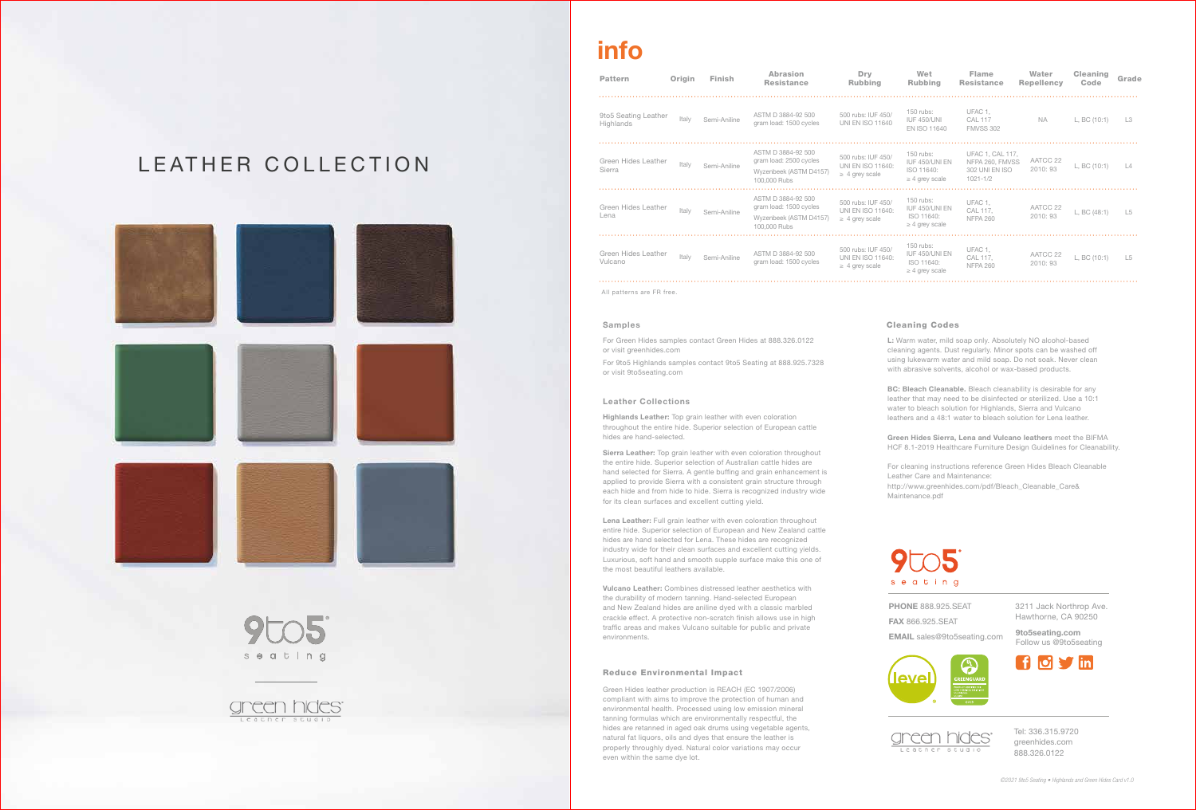Tel: 336.315.9720 greenhides.com 888.326.0122

# info

3211 Jack Northrop Ave. Hawthorne, CA 90250

**PHONE 888.925.SEAT** FAX 866.925.SEAT EMAIL sales@9to5seating.com

9to5seating.com Follow us @9to5seating



L: Warm water, mild soap only. Absolutely NO alcohol-based cleaning agents. Dust regularly. Minor spots can be washed off using lukewarm water and mild soap. Do not soak. Never clean with abrasive solvents, alcohol or wax-based products.

BC: Bleach Cleanable. Bleach cleanability is desirable for any leather that may need to be disinfected or sterilized. Use a 10:1 water to bleach solution for Highlands, Sierra and Vulcano leathers and a 48:1 water to bleach solution for Lena leather.

Green Hides Sierra, Lena and Vulcano leathers meet the BIFMA HCF 8.1-2019 Healthcare Furniture Design Guidelines for Cleanability.

For cleaning instructions reference Green Hides Bleach Cleanable Leather Care and Maintenance:

http://www.greenhides.com/pdf/Bleach\_Cleanable\_Care&



Maintenance.pdf







## Cleaning Codes

All patterns are FR free.

Sierra Leather: Top grain leather with even coloration throughout the entire hide. Superior selection of Australian cattle hides are hand selected for Sierra. A gentle buffing and grain enhancement is applied to provide Sierra with a consistent grain structure through each hide and from hide to hide. Sierra is recognized industry wide for its clean surfaces and excellent cutting yield.

Lena Leather: Full grain leather with even coloration throughout entire hide. Superior selection of European and New Zealand cattle hides are hand selected for Lena. These hides are recognized industry wide for their clean surfaces and excellent cutting yields. Luxurious, soft hand and smooth supple surface make this one of the most beautiful leathers available.

| Pattern                           | Origin | Finish       | Abrasion<br><b>Resistance</b>                                                          | Dry<br>Rubbing                                                 | Wet<br><b>Rubbing</b>                                            | <b>Flame</b><br><b>Resistance</b>                                            | Water<br><b>Repellency</b> | <b>Cleaning</b><br>Code | Grade         |
|-----------------------------------|--------|--------------|----------------------------------------------------------------------------------------|----------------------------------------------------------------|------------------------------------------------------------------|------------------------------------------------------------------------------|----------------------------|-------------------------|---------------|
| 9to5 Seating Leather<br>Highlands | Italy  | Semi-Aniline | ASTM D 3884-92 500<br>gram load: 1500 cycles                                           | 500 rubs: IUF 450/<br><b>UNI EN ISO 11640</b>                  | 150 rubs:<br><b>IUF 450/UNI</b><br>EN ISO 11640                  | UFAC 1,<br><b>CAL 117</b><br><b>FMVSS 302</b>                                | <b>NA</b>                  | L. BC (10:1)            | $\perp$ 3     |
| Green Hides Leather<br>Sierra     | Italy  | Semi-Aniline | ASTM D 3884-92 500<br>gram load: 2500 cycles<br>Wyzenbeek (ASTM D4157)<br>100,000 Rubs | 500 rubs: IUF 450/<br>UNI EN ISO 11640:<br>$\geq$ 4 grey scale | 150 rubs:<br>IUF 450/UNI EN<br>ISO 11640:<br>$\geq$ 4 grey scale | <b>UFAC 1. CAL 117.</b><br>NFPA 260, FMVSS<br>302 UNI EN ISO<br>$1021 - 1/2$ | AATCC 22<br>2010:93        | L, BC (10:1)            | $\frac{1}{4}$ |
| Green Hides Leather<br>Lena       | Italy  | Semi-Aniline | ASTM D 3884-92 500<br>gram load: 1500 cycles<br>Wyzenbeek (ASTM D4157)<br>100,000 Rubs | 500 rubs: IUF 450/<br>UNI EN ISO 11640:<br>$\geq$ 4 grey scale | 150 rubs:<br>IUF 450/UNI EN<br>ISO 11640:<br>$\geq$ 4 grey scale | UFAC 1.<br>CAL 117,<br><b>NFPA 260</b>                                       | AATCC 22<br>2010: 93       | L, BC (48:1)            | $\perp 5$     |
| Green Hides Leather<br>Vulcano    | Italy  | Semi-Aniline | ASTM D 3884-92 500<br>gram load: 1500 cycles                                           | 500 rubs: IUF 450/<br>UNI EN ISO 11640:<br>$\geq$ 4 grey scale | 150 rubs:<br>IUF 450/UNI EN<br>ISO 11640:<br>$\geq$ 4 grey scale | UFAC 1.<br>CAL 117,<br><b>NFPA 260</b>                                       | AATCC 22<br>2010:93        | L, BC (10:1)            | $\lfloor 5$   |
|                                   |        |              |                                                                                        |                                                                |                                                                  |                                                                              |                            |                         |               |

Green Hides leather production is REACH (EC 1907/2006) compliant with aims to improve the protection of human and environmental health. Processed using low emission mineral tanning formulas which are environmentally respectful, the hides are retanned in aged oak drums using vegetable agents, natural fat liquors, oils and dyes that ensure the leather is properly throughly dyed. Natural color variations may occur even within the same dye lot.

#### Reduce Environmental Impact

#### Samples

For Green Hides samples contact Green Hides at 888.326.0122 or visit greenhides.com

For 9to5 Highlands samples contact 9to5 Seating at 888.925.7328 or visit 9to5seating.com

### Leather Collections

Highlands Leather: Top grain leather with even coloration throughout the entire hide. Superior selection of European cattle hides are hand-selected.

Vulcano Leather: Combines distressed leather aesthetics with the durability of modern tanning. Hand-selected European and New Zealand hides are aniline dyed with a classic marbled crackle effect. A protective non-scratch finish allows use in high traffic areas and makes Vulcano suitable for public and private environments.

## LEATHER COLLECTION